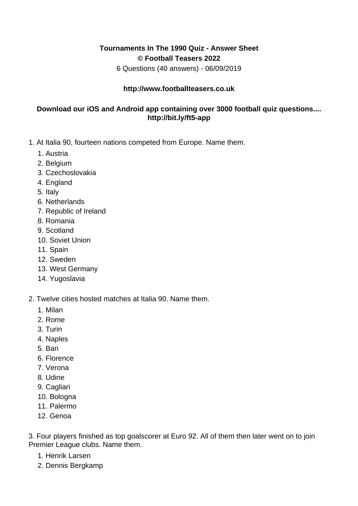## **Tournaments In The 1990 Quiz - Answer Sheet © Football Teasers 2022**

6 Questions (40 answers) - 06/09/2019

## **http://www.footballteasers.co.uk**

## **Download our iOS and Android app containing over 3000 football quiz questions.... http://bit.ly/ft5-app**

- 1. At Italia 90, fourteen nations competed from Europe. Name them.
	- 1. Austria
	- 2. Belgium
	- 3. Czechoslovakia
	- 4. England
	- 5. Italy
	- 6. Netherlands
	- 7. Republic of Ireland
	- 8. Romania
	- 9. Scotland
	- 10. Soviet Union
	- 11. Spain
	- 12. Sweden
	- 13. West Germany
	- 14. Yugoslavia
- 2. Twelve cities hosted matches at Italia 90. Name them.
	- 1. Milan
	- 2. Rome
	- 3. Turin
	- 4. Naples
	- 5. Bari
	- 6. Florence
	- 7. Verona
	- 8. Udine
	- 9. Cagliari
	- 10. Bologna
	- 11. Palermo
	- 12. Genoa

3. Four players finished as top goalscorer at Euro 92. All of them then later went on to join Premier League clubs. Name them.

- 1. Henrik Larsen
- 2. Dennis Bergkamp